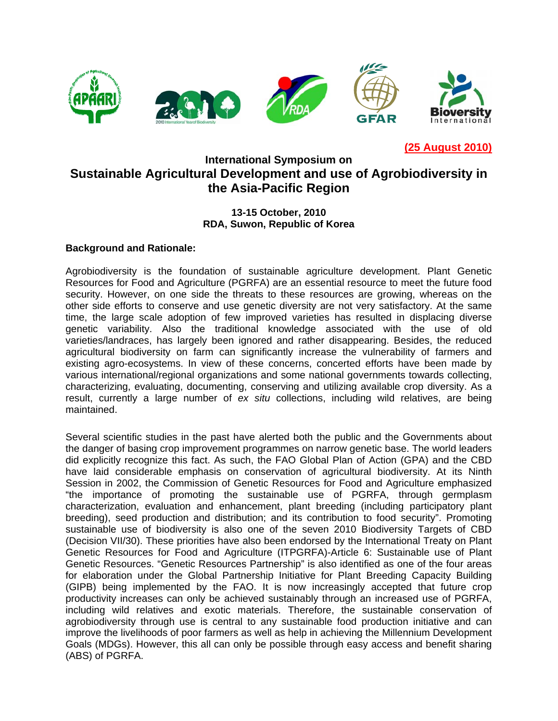

## **(25 August 2010)**

# **International Symposium on Sustainable Agricultural Development and use of Agrobiodiversity in the Asia-Pacific Region**

#### **13-15 October, 2010 RDA, Suwon, Republic of Korea**

#### **Background and Rationale:**

Agrobiodiversity is the foundation of sustainable agriculture development. Plant Genetic Resources for Food and Agriculture (PGRFA) are an essential resource to meet the future food security. However, on one side the threats to these resources are growing, whereas on the other side efforts to conserve and use genetic diversity are not very satisfactory. At the same time, the large scale adoption of few improved varieties has resulted in displacing diverse genetic variability. Also the traditional knowledge associated with the use of old varieties/landraces, has largely been ignored and rather disappearing. Besides, the reduced agricultural biodiversity on farm can significantly increase the vulnerability of farmers and existing agro-ecosystems. In view of these concerns, concerted efforts have been made by various international/regional organizations and some national governments towards collecting, characterizing, evaluating, documenting, conserving and utilizing available crop diversity. As a result, currently a large number of *ex situ* collections, including wild relatives, are being maintained.

Several scientific studies in the past have alerted both the public and the Governments about the danger of basing crop improvement programmes on narrow genetic base. The world leaders did explicitly recognize this fact. As such, the FAO Global Plan of Action (GPA) and the CBD have laid considerable emphasis on conservation of agricultural biodiversity. At its Ninth Session in 2002, the Commission of Genetic Resources for Food and Agriculture emphasized "the importance of promoting the sustainable use of PGRFA, through germplasm characterization, evaluation and enhancement, plant breeding (including participatory plant breeding), seed production and distribution; and its contribution to food security". Promoting sustainable use of biodiversity is also one of the seven 2010 Biodiversity Targets of CBD (Decision VII/30). These priorities have also been endorsed by the International Treaty on Plant Genetic Resources for Food and Agriculture (ITPGRFA)-Article 6: Sustainable use of Plant Genetic Resources. "Genetic Resources Partnership" is also identified as one of the four areas for elaboration under the Global Partnership Initiative for Plant Breeding Capacity Building (GIPB) being implemented by the FAO. It is now increasingly accepted that future crop productivity increases can only be achieved sustainably through an increased use of PGRFA, including wild relatives and exotic materials. Therefore, the sustainable conservation of agrobiodiversity through use is central to any sustainable food production initiative and can improve the livelihoods of poor farmers as well as help in achieving the Millennium Development Goals (MDGs). However, this all can only be possible through easy access and benefit sharing (ABS) of PGRFA.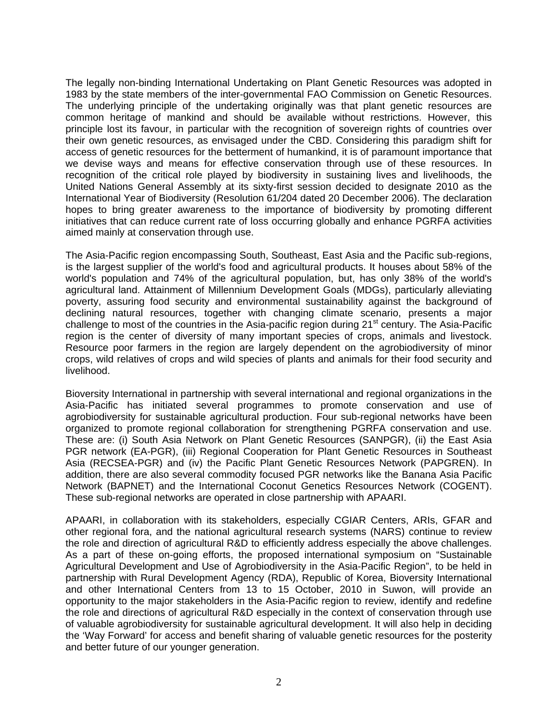The legally non-binding International Undertaking on Plant Genetic Resources was adopted in 1983 by the state members of the inter-governmental FAO Commission on Genetic Resources. The underlying principle of the undertaking originally was that plant genetic resources are common heritage of mankind and should be available without restrictions. However, this principle lost its favour, in particular with the recognition of sovereign rights of countries over their own genetic resources, as envisaged under the CBD. Considering this paradigm shift for access of genetic resources for the betterment of humankind, it is of paramount importance that we devise ways and means for effective conservation through use of these resources. In recognition of the critical role played by biodiversity in sustaining lives and livelihoods, the United Nations General Assembly at its sixty-first session decided to designate 2010 as the International Year of Biodiversity (Resolution 61/204 dated 20 December 2006). The declaration hopes to bring greater awareness to the importance of biodiversity by promoting different initiatives that can reduce current rate of loss occurring globally and enhance PGRFA activities aimed mainly at conservation through use.

The Asia-Pacific region encompassing South, Southeast, East Asia and the Pacific sub-regions, is the largest supplier of the world's food and agricultural products. It houses about 58% of the world's population and 74% of the agricultural population, but, has only 38% of the world's agricultural land. Attainment of Millennium Development Goals (MDGs), particularly alleviating poverty, assuring food security and environmental sustainability against the background of declining natural resources, together with changing climate scenario, presents a major challenge to most of the countries in the Asia-pacific region during 21<sup>st</sup> century. The Asia-Pacific region is the center of diversity of many important species of crops, animals and livestock. Resource poor farmers in the region are largely dependent on the agrobiodiversity of minor crops, wild relatives of crops and wild species of plants and animals for their food security and livelihood.

Bioversity International in partnership with several international and regional organizations in the Asia-Pacific has initiated several programmes to promote conservation and use of agrobiodiversity for sustainable agricultural production. Four sub-regional networks have been organized to promote regional collaboration for strengthening PGRFA conservation and use. These are: (i) South Asia Network on Plant Genetic Resources (SANPGR), (ii) the East Asia PGR network (EA-PGR), (iii) Regional Cooperation for Plant Genetic Resources in Southeast Asia (RECSEA-PGR) and (iv) the Pacific Plant Genetic Resources Network (PAPGREN). In addition, there are also several commodity focused PGR networks like the Banana Asia Pacific Network (BAPNET) and the International Coconut Genetics Resources Network (COGENT). These sub-regional networks are operated in close partnership with APAARI.

APAARI, in collaboration with its stakeholders, especially CGIAR Centers, ARIs, GFAR and other regional fora, and the national agricultural research systems (NARS) continue to review the role and direction of agricultural R&D to efficiently address especially the above challenges. As a part of these on-going efforts, the proposed international symposium on "Sustainable Agricultural Development and Use of Agrobiodiversity in the Asia-Pacific Region", to be held in partnership with Rural Development Agency (RDA), Republic of Korea, Bioversity International and other International Centers from 13 to 15 October, 2010 in Suwon, will provide an opportunity to the major stakeholders in the Asia-Pacific region to review, identify and redefine the role and directions of agricultural R&D especially in the context of conservation through use of valuable agrobiodiversity for sustainable agricultural development. It will also help in deciding the 'Way Forward' for access and benefit sharing of valuable genetic resources for the posterity and better future of our younger generation.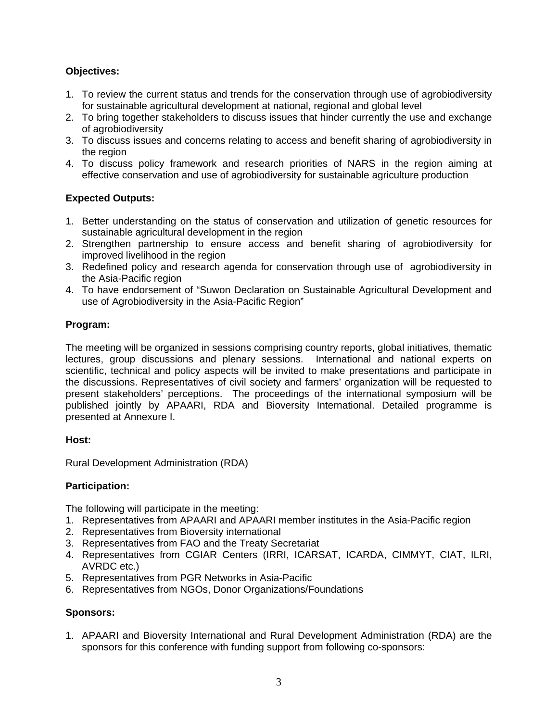## **Objectives:**

- 1. To review the current status and trends for the conservation through use of agrobiodiversity for sustainable agricultural development at national, regional and global level
- 2. To bring together stakeholders to discuss issues that hinder currently the use and exchange of agrobiodiversity
- 3. To discuss issues and concerns relating to access and benefit sharing of agrobiodiversity in the region
- 4. To discuss policy framework and research priorities of NARS in the region aiming at effective conservation and use of agrobiodiversity for sustainable agriculture production

## **Expected Outputs:**

- 1. Better understanding on the status of conservation and utilization of genetic resources for sustainable agricultural development in the region
- 2. Strengthen partnership to ensure access and benefit sharing of agrobiodiversity for improved livelihood in the region
- 3. Redefined policy and research agenda for conservation through use of agrobiodiversity in the Asia-Pacific region
- 4. To have endorsement of "Suwon Declaration on Sustainable Agricultural Development and use of Agrobiodiversity in the Asia-Pacific Region"

## **Program:**

The meeting will be organized in sessions comprising country reports, global initiatives, thematic lectures, group discussions and plenary sessions. International and national experts on scientific, technical and policy aspects will be invited to make presentations and participate in the discussions. Representatives of civil society and farmers' organization will be requested to present stakeholders' perceptions. The proceedings of the international symposium will be published jointly by APAARI, RDA and Bioversity International. Detailed programme is presented at Annexure I.

### **Host:**

Rural Development Administration (RDA)

### **Participation:**

The following will participate in the meeting:

- 1. Representatives from APAARI and APAARI member institutes in the Asia-Pacific region
- 2. Representatives from Bioversity international
- 3. Representatives from FAO and the Treaty Secretariat
- 4. Representatives from CGIAR Centers (IRRI, ICARSAT, ICARDA, CIMMYT, CIAT, ILRI, AVRDC etc.)
- 5. Representatives from PGR Networks in Asia-Pacific
- 6. Representatives from NGOs, Donor Organizations/Foundations

### **Sponsors:**

1. APAARI and Bioversity International and Rural Development Administration (RDA) are the sponsors for this conference with funding support from following co-sponsors: